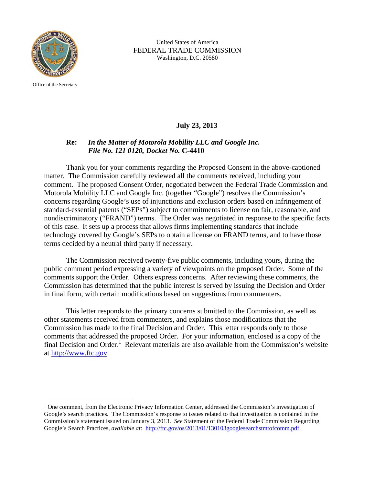

Office of the Secretary

 $\overline{a}$ 

 United States of America FEDERAL TRADE COMMISSION Washington, D.C. 20580

## **July 23, 2013**

## **Re:** *In the Matter of Motorola Mobility LLC and Google Inc. File No. 121 0120, Docket No.* **C-4410**

 Thank you for your comments regarding the Proposed Consent in the above-captioned matter. The Commission carefully reviewed all the comments received, including your comment. The proposed Consent Order, negotiated between the Federal Trade Commission and Motorola Mobility LLC and Google Inc. (together "Google") resolves the Commission's concerns regarding Google's use of injunctions and exclusion orders based on infringement of standard-essential patents ("SEPs") subject to commitments to license on fair, reasonable, and nondiscriminatory ("FRAND") terms. The Order was negotiated in response to the specific facts of this case. It sets up a process that allows firms implementing standards that include technology covered by Google's SEPs to obtain a license on FRAND terms, and to have those terms decided by a neutral third party if necessary.

 The Commission received twenty-five public comments, including yours, during the public comment period expressing a variety of viewpoints on the proposed Order. Some of the comments support the Order. Others express concerns. After reviewing these comments, the Commission has determined that the public interest is served by issuing the Decision and Order in final form, with certain modifications based on suggestions from commenters.

This letter responds to the primary concerns submitted to the Commission, as well as other statements received from commenters, and explains those modifications that the Commission has made to the final Decision and Order. This letter responds only to those comments that addressed the proposed Order. For your information, enclosed is a copy of the final Decision and Order.<sup>1</sup> Relevant materials are also available from the Commission's website at http://www.ftc.gov.

<sup>&</sup>lt;sup>1</sup> One comment, from the Electronic Privacy Information Center, addressed the Commission's investigation of Google's search practices. The Commission's response to issues related to that investigation is contained in the Commission's statement issued on January 3, 2013. *See* Statement of the Federal Trade Commission Regarding Google's Search Practices, *available at:* http://ftc.gov/os/2013/01/130103googlesearchstmtofcomm.pdf.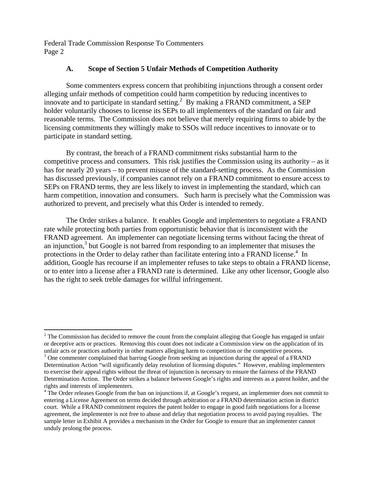# **A. Scope of Section 5 Unfair Methods of Competition Authority**

Some commenters express concern that prohibiting injunctions through a consent order alleging unfair methods of competition could harm competition by reducing incentives to innovate and to participate in standard setting. $^{2}$  By making a FRAND commitment, a SEP holder voluntarily chooses to license its SEPs to all implementers of the standard on fair and reasonable terms. The Commission does not believe that merely requiring firms to abide by the licensing commitments they willingly make to SSOs will reduce incentives to innovate or to participate in standard setting.

By contrast, the breach of a FRAND commitment risks substantial harm to the competitive process and consumers. This risk justifies the Commission using its authority – as it has for nearly 20 years – to prevent misuse of the standard-setting process. As the Commission has discussed previously, if companies cannot rely on a FRAND commitment to ensure access to SEPs on FRAND terms, they are less likely to invest in implementing the standard, which can harm competition, innovation and consumers. Such harm is precisely what the Commission was authorized to prevent, and precisely what this Order is intended to remedy.

The Order strikes a balance. It enables Google and implementers to negotiate a FRAND rate while protecting both parties from opportunistic behavior that is inconsistent with the FRAND agreement. An implementer can negotiate licensing terms without facing the threat of an injunction,<sup>3</sup> but Google is not barred from responding to an implementer that misuses the protections in the Order to delay rather than facilitate entering into a FRAND license.<sup>4</sup> In addition, Google has recourse if an implementer refuses to take steps to obtain a FRAND license, or to enter into a license after a FRAND rate is determined. Like any other licensor, Google also has the right to seek treble damages for willful infringement.

<sup>1</sup>  $2^2$  The Commission has decided to remove the count from the complaint alleging that Google has engaged in unfair or deceptive acts or practices. Removing this count does not indicate a Commission view on the application of its unfair acts or practices authority in other matters alleging harm to competition or the competitive process. 3

<sup>&</sup>lt;sup>3</sup> One commenter complained that barring Google from seeking an injunction during the appeal of a FRAND Determination Action "will significantly delay resolution of licensing disputes." However, enabling implementers to exercise their appeal rights without the threat of injunction is necessary to ensure the fairness of the FRAND Determination Action. The Order strikes a balance between Google's rights and interests as a patent holder, and the rights and interests of implementers.

<sup>&</sup>lt;sup>4</sup> The Order releases Google from the ban on injunctions if, at Google's request, an implementer does not commit to entering a License Agreement on terms decided through arbitration or a FRAND determination action in district court. While a FRAND commitment requires the patent holder to engage in good faith negotiations for a license agreement, the implementer is not free to abuse and delay that negotiation process to avoid paying royalties. The sample letter in Exhibit A provides a mechanism in the Order for Google to ensure that an implementer cannot unduly prolong the process.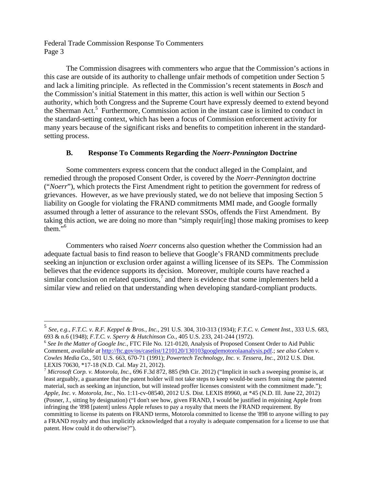$\overline{a}$ 

The Commission disagrees with commenters who argue that the Commission's actions in this case are outside of its authority to challenge unfair methods of competition under Section 5 and lack a limiting principle. As reflected in the Commission's recent statements in *Bosch* and the Commission's initial Statement in this matter, this action is well within our Section 5 authority, which both Congress and the Supreme Court have expressly deemed to extend beyond the Sherman Act.<sup>5</sup> Furthermore, Commission action in the instant case is limited to conduct in the standard-setting context, which has been a focus of Commission enforcement activity for many years because of the significant risks and benefits to competition inherent in the standardsetting process.

## **B. Response To Comments Regarding the** *Noerr-Pennington* **Doctrine**

Some commenters express concern that the conduct alleged in the Complaint, and remedied through the proposed Consent Order, is covered by the *Noerr-Pennington* doctrine ("*Noerr*"), which protects the First Amendment right to petition the government for redress of grievances. However, as we have previously stated, we do not believe that imposing Section 5 liability on Google for violating the FRAND commitments MMI made, and Google formally assumed through a letter of assurance to the relevant SSOs, offends the First Amendment. By taking this action, we are doing no more than "simply requir[ing] those making promises to keep them. $\ldots$ <sup>6</sup>

Commenters who raised *Noerr* concerns also question whether the Commission had an adequate factual basis to find reason to believe that Google's FRAND commitments preclude seeking an injunction or exclusion order against a willing licensee of its SEPs. The Commission believes that the evidence supports its decision. Moreover, multiple courts have reached a similar conclusion on related questions,<sup>7</sup> and there is evidence that some implementers held a similar view and relied on that understanding when developing standard-compliant products.

<sup>7</sup> *Microsoft Corp. v. Motorola, Inc.*, 696 F.3d 872, 885 (9th Cir. 2012) ("Implicit in such a sweeping promise is, at least arguably, a guarantee that the patent holder will not take steps to keep would-be users from using the patented material, such as seeking an injunction, but will instead proffer licenses consistent with the commitment made."); *Apple, Inc. v. Motorola, Inc.*, No. 1:11-cv-08540, 2012 U.S. Dist. LEXIS 89960, at \*45 (N.D. Ill. June 22, 2012) (Posner, J., sitting by designation) ("I don't see how, given FRAND, I would be justified in enjoining Apple from infringing the '898 [patent] unless Apple refuses to pay a royalty that meets the FRAND requirement. By committing to license its patents on FRAND terms, Motorola committed to license the '898 to anyone willing to pay a FRAND royalty and thus implicitly acknowledged that a royalty is adequate compensation for a license to use that patent. How could it do otherwise?").

<sup>5</sup> *See, e.g., F.T.C. v. R.F. Keppel & Bros., Inc.*, 291 U.S. 304, 310-313 (1934); *F.T.C. v. Cement Inst.*, 333 U.S. 683, 693 & n.6 (1948); *F.T.C. v. Sperry & Hutchinson Co.*, 405 U.S. 233, 241-244 (1972). <sup>6</sup> *See In the Matter of Google Inc.*, FTC File No. 121-0120, Analysis of Proposed Consent Order to Aid Public

Comment, *available at* http://ftc.gov/os/caselist/1210120/130103googlemotorolaanalysis.pdf.; *see also Cohen v. Cowles Media Co.*, 501 U.S. 663, 670-71 (1991); *Powertech Technology, Inc. v. Tessera, Inc.*, 2012 U.S. Dist. LEXIS 70630, \*17-18 (N.D. Cal. May 21, 2012).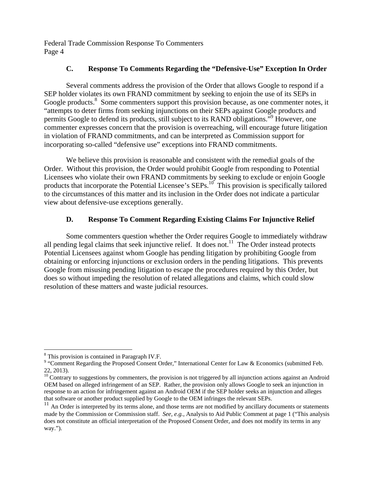## **C. Response To Comments Regarding the "Defensive-Use" Exception In Order**

Several comments address the provision of the Order that allows Google to respond if a SEP holder violates its own FRAND commitment by seeking to enjoin the use of its SEPs in Google products.<sup>8</sup> Some commenters support this provision because, as one commenter notes, it "attempts to deter firms from seeking injunctions on their SEPs against Google products and permits Google to defend its products, still subject to its RAND obligations."<sup>9</sup> However, one commenter expresses concern that the provision is overreaching, will encourage future litigation in violation of FRAND commitments, and can be interpreted as Commission support for incorporating so-called "defensive use" exceptions into FRAND commitments.

We believe this provision is reasonable and consistent with the remedial goals of the Order. Without this provision, the Order would prohibit Google from responding to Potential Licensees who violate their own FRAND commitments by seeking to exclude or enjoin Google products that incorporate the Potential Licensee's SEPs.<sup>10</sup> This provision is specifically tailored to the circumstances of this matter and its inclusion in the Order does not indicate a particular view about defensive-use exceptions generally.

# **D. Response To Comment Regarding Existing Claims For Injunctive Relief**

 Some commenters question whether the Order requires Google to immediately withdraw all pending legal claims that seek injunctive relief. It does not.<sup>11</sup> The Order instead protects Potential Licensees against whom Google has pending litigation by prohibiting Google from obtaining or enforcing injunctions or exclusion orders in the pending litigations. This prevents Google from misusing pending litigation to escape the procedures required by this Order, but does so without impeding the resolution of related allegations and claims, which could slow resolution of these matters and waste judicial resources.

 $\overline{a}$ 

<sup>&</sup>lt;sup>8</sup> This provision is contained in Paragraph IV.F.

<sup>&</sup>lt;sup>9</sup> "Comment Regarding the Proposed Consent Order," International Center for Law & Economics (submitted Feb. 22, 2013).

 $10$  Contrary to suggestions by commenters, the provision is not triggered by all injunction actions against an Android OEM based on alleged infringement of an SEP. Rather, the provision only allows Google to seek an injunction in response to an action for infringement against an Android OEM if the SEP holder seeks an injunction and alleges that software or another product supplied by Google to the OEM infringes the relevant SEPs.

<sup>&</sup>lt;sup>11</sup> An Order is interpreted by its terms alone, and those terms are not modified by ancillary documents or statements made by the Commission or Commission staff. *See, e.g.,* Analysis to Aid Public Comment at page 1 ("This analysis does not constitute an official interpretation of the Proposed Consent Order, and does not modify its terms in any way.").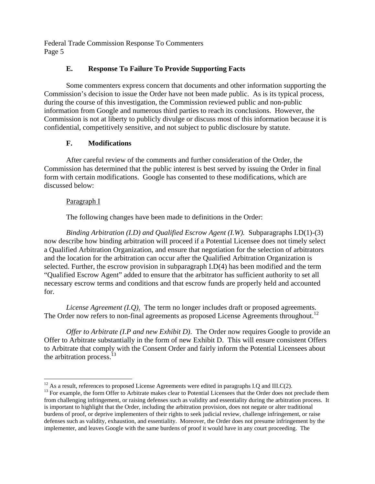## **E. Response To Failure To Provide Supporting Facts**

Some commenters express concern that documents and other information supporting the Commission's decision to issue the Order have not been made public. As is its typical process, during the course of this investigation, the Commission reviewed public and non-public information from Google and numerous third parties to reach its conclusions. However, the Commission is not at liberty to publicly divulge or discuss most of this information because it is confidential, competitively sensitive, and not subject to public disclosure by statute.

## **F. Modifications**

After careful review of the comments and further consideration of the Order, the Commission has determined that the public interest is best served by issuing the Order in final form with certain modifications. Google has consented to these modifications, which are discussed below:

## Paragraph I

The following changes have been made to definitions in the Order:

*Binding Arbitration (I.D) and Qualified Escrow Agent (I.W).* Subparagraphs I.D(1)-(3) now describe how binding arbitration will proceed if a Potential Licensee does not timely select a Qualified Arbitration Organization, and ensure that negotiation for the selection of arbitrators and the location for the arbitration can occur after the Qualified Arbitration Organization is selected. Further, the escrow provision in subparagraph I.D(4) has been modified and the term "Qualified Escrow Agent" added to ensure that the arbitrator has sufficient authority to set all necessary escrow terms and conditions and that escrow funds are properly held and accounted for.

*License Agreement (I.Q)*. The term no longer includes draft or proposed agreements. The Order now refers to non-final agreements as proposed License Agreements throughout.<sup>12</sup>

*Offer to Arbitrate (I.P and new Exhibit D)*. The Order now requires Google to provide an Offer to Arbitrate substantially in the form of new Exhibit D. This will ensure consistent Offers to Arbitrate that comply with the Consent Order and fairly inform the Potential Licensees about the arbitration process. $^{13}$ 

 $^{12}$  As a result, references to proposed License Agreements were edited in paragraphs I.Q and III.C(2).

 $13$  For example, the form Offer to Arbitrate makes clear to Potential Licensees that the Order does not preclude them from challenging infringement, or raising defenses such as validity and essentiality during the arbitration process. It is important to highlight that the Order, including the arbitration provision, does not negate or alter traditional burdens of proof, or deprive implementers of their rights to seek judicial review, challenge infringement, or raise defenses such as validity, exhaustion, and essentiality. Moreover, the Order does not presume infringement by the implementer, and leaves Google with the same burdens of proof it would have in any court proceeding. The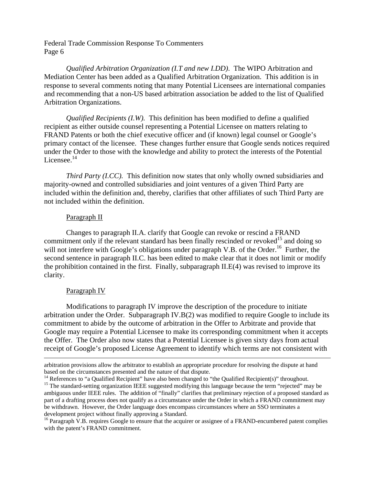*Qualified Arbitration Organization (I.T and new I.DD)*. The WIPO Arbitration and Mediation Center has been added as a Qualified Arbitration Organization. This addition is in response to several comments noting that many Potential Licensees are international companies and recommending that a non-US based arbitration association be added to the list of Qualified Arbitration Organizations.

*Qualified Recipients (I.W).* This definition has been modified to define a qualified recipient as either outside counsel representing a Potential Licensee on matters relating to FRAND Patents or both the chief executive officer and (if known) legal counsel or Google's primary contact of the licensee. These changes further ensure that Google sends notices required under the Order to those with the knowledge and ability to protect the interests of the Potential Licensee. $14$ 

*Third Party (I.CC).* This definition now states that only wholly owned subsidiaries and majority-owned and controlled subsidiaries and joint ventures of a given Third Party are included within the definition and, thereby, clarifies that other affiliates of such Third Party are not included within the definition.

#### Paragraph II

Changes to paragraph II.A. clarify that Google can revoke or rescind a FRAND commitment only if the relevant standard has been finally rescinded or revoked<sup>15</sup> and doing so will not interfere with Google's obligations under paragraph V.B. of the Order.<sup>16</sup> Further, the second sentence in paragraph II.C. has been edited to make clear that it does not limit or modify the prohibition contained in the first. Finally, subparagraph II.E(4) was revised to improve its clarity.

#### Paragraph IV

Modifications to paragraph IV improve the description of the procedure to initiate arbitration under the Order. Subparagraph IV.B(2) was modified to require Google to include its commitment to abide by the outcome of arbitration in the Offer to Arbitrate and provide that Google may require a Potential Licensee to make its corresponding commitment when it accepts the Offer. The Order also now states that a Potential Licensee is given sixty days from actual receipt of Google's proposed License Agreement to identify which terms are not consistent with

arbitration provisions allow the arbitrator to establish an appropriate procedure for resolving the dispute at hand

based on the circumstances presented and the nature of that dispute.<br><sup>14</sup> References to "a Qualified Recipient" have also been changed to "the Qualified Recipient(s)" throughout.<br><sup>15</sup> The standard-setting organization IEEE ambiguous under IEEE rules. The addition of "finally" clarifies that preliminary rejection of a proposed standard as part of a drafting process does not qualify as a circumstance under the Order in which a FRAND commitment may be withdrawn. However, the Order language does encompass circumstances where an SSO terminates a development project without finally approving a Standard.

<sup>&</sup>lt;sup>16</sup> Paragraph V.B. requires Google to ensure that the acquirer or assignee of a FRAND-encumbered patent complies with the patent's FRAND commitment.